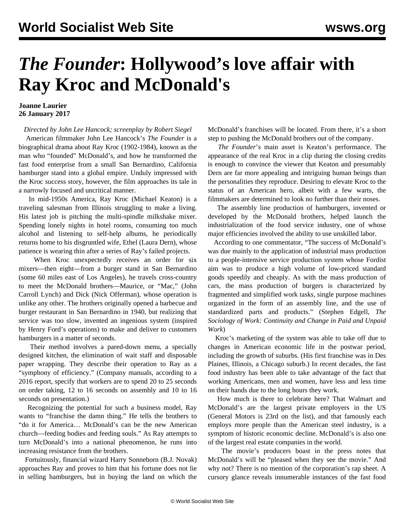## *The Founder***: Hollywood's love affair with Ray Kroc and McDonald's**

## **Joanne Laurier 26 January 2017**

*Directed by John Lee Hancock; screenplay by Robert Siegel*

 American filmmaker John Lee Hancock's *The Founder* is a biographical drama about Ray Kroc (1902-1984), known as the man who "founded" McDonald's, and how he transformed the fast food enterprise from a small San Bernardino, California hamburger stand into a global empire. Unduly impressed with the Kroc success story, however, the film approaches its tale in a narrowly focused and uncritical manner.

 In mid-1950s America, Ray Kroc (Michael Keaton) is a traveling salesman from Illinois struggling to make a living. His latest job is pitching the multi-spindle milkshake mixer. Spending lonely nights in hotel rooms, consuming too much alcohol and listening to self-help albums, he periodically returns home to his disgruntled wife, Ethel (Laura Dern), whose patience is wearing thin after a series of Ray's failed projects.

 When Kroc unexpectedly receives an order for six mixers—then eight—from a burger stand in San Bernardino (some 60 miles east of Los Angeles), he travels cross-country to meet the McDonald brothers—Maurice, or "Mac," (John Carroll Lynch) and Dick (Nick Offerman), whose operation is unlike any other. The brothers originally opened a barbecue and burger restaurant in San Bernardino in 1940, but realizing that service was too slow, invented an ingenious system (inspired by Henry Ford's operations) to make and deliver to customers hamburgers in a matter of seconds.

 Their method involves a pared-down menu, a specially designed kitchen, the elimination of wait staff and disposable paper wrapping. They describe their operation to Ray as a "symphony of efficiency." (Company manuals, according to a 2016 report, specify that workers are to spend 20 to 25 seconds on order taking, 12 to 16 seconds on assembly and 10 to 16 seconds on presentation.)

 Recognizing the potential for such a business model, Ray wants to "franchise the damn thing." He tells the brothers to "do it for America… McDonald's can be the new American church—feeding bodies and feeding souls." As Ray attempts to turn McDonald's into a national phenomenon, he runs into increasing resistance from the brothers.

 Fortuitously, financial wizard Harry Sonneborn (B.J. Novak) approaches Ray and proves to him that his fortune does not lie in selling hamburgers, but in buying the land on which the McDonald's franchises will be located. From there, it's a short step to pushing the McDonald brothers out of the company.

 *The Founder*'s main asset is Keaton's performance. The appearance of the real Kroc in a clip during the closing credits is enough to convince the viewer that Keaton and presumably Dern are far more appealing and intriguing human beings than the personalities they reproduce. Desiring to elevate Kroc to the status of an American hero, albeit with a few warts, the filmmakers are determined to look no further than their noses.

 The assembly line production of hamburgers, invented or developed by the McDonald brothers, helped launch the industrialization of the food service industry, one of whose major efficiencies involved the ability to use unskilled labor.

 According to one commentator, "The success of McDonald's was due mainly to the application of industrial mass production to a people-intensive service production system whose Fordist aim was to produce a high volume of low-priced standard goods speedily and cheaply. As with the mass production of cars, the mass production of burgers is characterized by fragmented and simplified work tasks, single purpose machines organized in the form of an assembly line, and the use of standardized parts and products." (Stephen Edgell, *The Sociology of Work: Continuity and Change in Paid and Unpaid Work*)

 Kroc's marketing of the system was able to take off due to changes in American economic life in the postwar period, including the growth of suburbs. (His first franchise was in Des Plaines, Illinois, a Chicago suburb.) In recent decades, the fast food industry has been able to take advantage of the fact that working Americans, men and women, have less and less time on their hands due to the long hours they work.

 How much is there to celebrate here? That Walmart and McDonald's are the largest private employers in the US (General Motors is 23rd on the list), and that famously each employs more people than the American steel industry, is a symptom of historic economic decline. McDonald's is also one of the largest real estate companies in the world.

 The movie's producers boast in the press notes that McDonald's will be "pleased when they see the movie." And why not? There is no mention of the corporation's rap sheet. A cursory glance reveals innumerable instances of the fast food